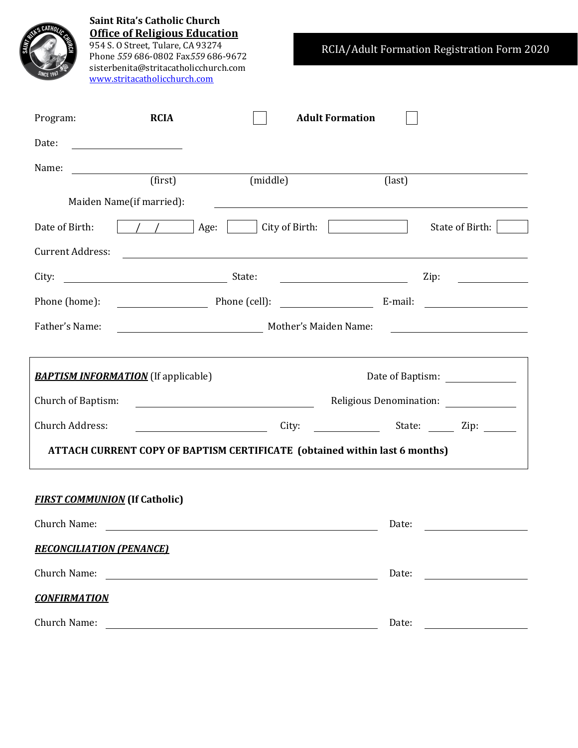|                         |                                         | <b>Saint Rita's Catholic Church</b><br><b>Office of Religious Education</b><br>954 S. O Street, Tulare, CA 93274<br>Phone 559 686-0802 Fax559 686-9672<br>sisterbenita@stritacatholicchurch.com<br>www.stritacatholicchurch.com |  |          |                                 |        | RCIA/Adult Formation Registration Form 2020 |  |
|-------------------------|-----------------------------------------|---------------------------------------------------------------------------------------------------------------------------------------------------------------------------------------------------------------------------------|--|----------|---------------------------------|--------|---------------------------------------------|--|
| Program:                |                                         | <b>RCIA</b>                                                                                                                                                                                                                     |  |          | <b>Adult Formation</b>          |        |                                             |  |
| Date:                   | <u> 1980 - Johann Barbara, martin a</u> |                                                                                                                                                                                                                                 |  |          |                                 |        |                                             |  |
| Name:                   |                                         | (first)                                                                                                                                                                                                                         |  | (middle) |                                 | (last) |                                             |  |
|                         | Maiden Name(if married):                |                                                                                                                                                                                                                                 |  |          |                                 |        |                                             |  |
| Date of Birth:          |                                         |                                                                                                                                                                                                                                 |  |          |                                 |        | State of Birth:                             |  |
| <b>Current Address:</b> |                                         | <u> 1989 - Johann Stoff, deutscher Stoffen und der Stoffen und der Stoffen und der Stoffen und der Stoffen und der</u>                                                                                                          |  |          |                                 |        |                                             |  |
| City:                   |                                         |                                                                                                                                                                                                                                 |  |          | <u> Liston de la componenta</u> |        | $\overline{Lip}$ :                          |  |
|                         | Phone (cell): E-mail:<br>Phone (home):  |                                                                                                                                                                                                                                 |  |          |                                 |        |                                             |  |
| Father's Name:          |                                         | Mother's Maiden Name: The Contract of the Mother's Maiden Name:                                                                                                                                                                 |  |          |                                 |        |                                             |  |
|                         |                                         | <b>BAPTISM INFORMATION</b> (If applicable)                                                                                                                                                                                      |  |          |                                 |        |                                             |  |
| Church of Baptism:      |                                         |                                                                                                                                                                                                                                 |  |          |                                 |        | Religious Denomination: ______________      |  |
| Church Address:         |                                         |                                                                                                                                                                                                                                 |  | City:    |                                 |        | State: Zip:                                 |  |
|                         |                                         | ATTACH CURRENT COPY OF BAPTISM CERTIFICATE (obtained within last 6 months)                                                                                                                                                      |  |          |                                 |        |                                             |  |
|                         | <b>FIRST COMMUNION</b> (If Catholic)    |                                                                                                                                                                                                                                 |  |          |                                 |        |                                             |  |
|                         |                                         |                                                                                                                                                                                                                                 |  |          |                                 |        |                                             |  |
|                         | <b>RECONCILIATION (PENANCE)</b>         |                                                                                                                                                                                                                                 |  |          |                                 |        |                                             |  |
|                         |                                         |                                                                                                                                                                                                                                 |  |          |                                 | Date:  |                                             |  |
| <b>CONFIRMATION</b>     |                                         |                                                                                                                                                                                                                                 |  |          |                                 |        |                                             |  |
|                         |                                         |                                                                                                                                                                                                                                 |  |          |                                 | Date:  |                                             |  |
|                         |                                         |                                                                                                                                                                                                                                 |  |          |                                 |        |                                             |  |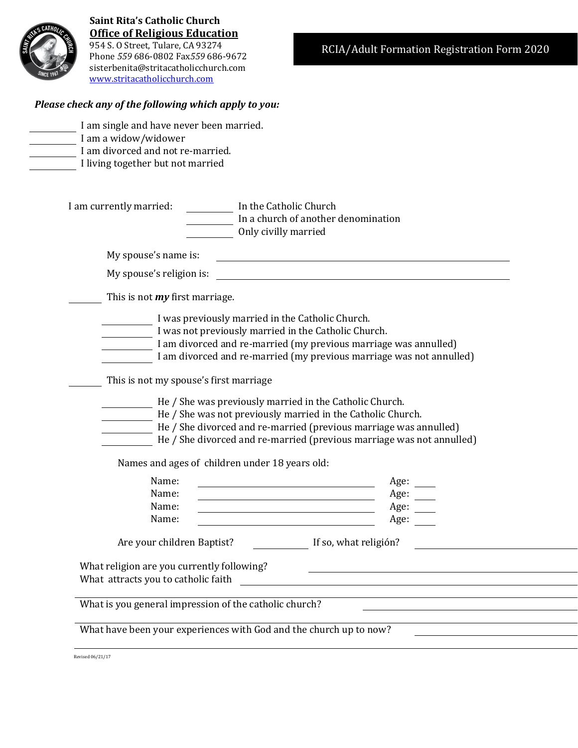

**Saint Rita's Catholic Church Office of Religious Education** 954 S. O Street, Tulare, CA 93274 Phone *559* 686-0802 Fax*559* 686-9672 sisterbenita@stritacatholicchurch.com [www.stritacatholicchurch.com](http://www.stritacatholicchurch.com/)

## *Please check any of the following which apply to you:*

| <b>Contract Contract</b><br>- | l |
|-------------------------------|---|
|                               | l |
| --                            | l |
|                               | l |
| -<br>_____                    | l |
|                               | l |
| -                             | l |

I am single and have never been married. I am a widow/widower I am divorced and not re-married. I living together but not married

|                                                                                   | In the Catholic Church<br>In a church of another denomination         |
|-----------------------------------------------------------------------------------|-----------------------------------------------------------------------|
|                                                                                   | Only civilly married                                                  |
| My spouse's name is:                                                              |                                                                       |
| My spouse's religion is:                                                          |                                                                       |
| This is not my first marriage.                                                    |                                                                       |
|                                                                                   | I was previously married in the Catholic Church.                      |
|                                                                                   | I was not previously married in the Catholic Church.                  |
|                                                                                   | I am divorced and re-married (my previous marriage was annulled)      |
|                                                                                   | I am divorced and re-married (my previous marriage was not annulled)  |
| This is not my spouse's first marriage                                            |                                                                       |
|                                                                                   | He / She was previously married in the Catholic Church.               |
|                                                                                   | He / She was not previously married in the Catholic Church.           |
|                                                                                   |                                                                       |
|                                                                                   |                                                                       |
|                                                                                   | He / She divorced and re-married (previous marriage was annulled)     |
|                                                                                   | He / She divorced and re-married (previous marriage was not annulled) |
|                                                                                   | Names and ages of children under 18 years old:                        |
| Name:                                                                             |                                                                       |
| Name:                                                                             | Age: $\qquad \qquad$<br>Age:                                          |
| Name:                                                                             | Age:                                                                  |
| Name:                                                                             | Age:                                                                  |
| Are your children Baptist?                                                        | If so, what religión?                                                 |
|                                                                                   |                                                                       |
| What religion are you currently following?<br>What attracts you to catholic faith |                                                                       |
|                                                                                   |                                                                       |
| What is you general impression of the catholic church?                            |                                                                       |
|                                                                                   | What have been your experiences with God and the church up to now?    |